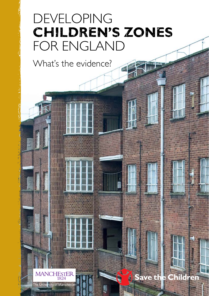## developing **children's zones** for england

What's the evidence?

MANCHESTER

The University of Manchester

### Save the Children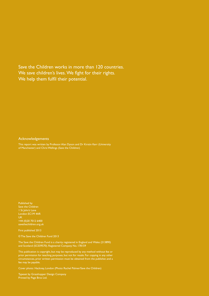Save the Children works in more than 120 countries. We save children's lives. We fight for their rights. We help them fulfil their potential.

#### Acknowledgements

This report was written by Professor Alan Dyson and Dr Kirstin Kerr (University of Manchester) and Chris Wellings (Save the Children)

Published by Save the Children 1 St John's Lane London EC1M 4AR UK +44 (0)20 7012 6400 savethechildren.org.uk

First published 2013

© The Save the Children Fund 2013

The Save the Children Fund is a charity registered in England and Wales (213890) and Scotland (SC039570). Registered Company No. 178159

This publication is copyright, but may be reproduced by any method without fee or prior permission for teaching purposes, but not for resale. For copying in any other circumstances, prior written permission must be obtained from the publisher, and a fee may be payable.

Cover photo: Hackney, London (Photo: Rachel Palmer/Save the Children)

Typeset by Grasshopper Design Company Printed by Page Bros Ltd.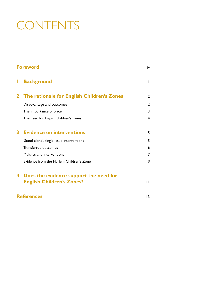# **CONTENTS**

| <b>Foreword</b>   |                                            | iv              |
|-------------------|--------------------------------------------|-----------------|
|                   | <b>Background</b>                          | I               |
| $\mathbf{2}^-$    | The rationale for English Children's Zones | $\mathbf{2}$    |
|                   | Disadvantage and outcomes                  | 2               |
|                   | The importance of place                    | 3               |
|                   | The need for English children's zones      | 4               |
| 3                 | <b>Evidence on interventions</b>           | 5               |
|                   | 'Stand-alone', single-issue interventions  | 5               |
|                   | <b>Transferred outcomes</b>                | 6               |
|                   | Multi-strand interventions                 | 7               |
|                   | Evidence from the Harlem Children's Zone   | 9               |
| 4                 | Does the evidence support the need for     |                 |
|                   | <b>English Children's Zones?</b>           | $\mathsf{L}$    |
| <b>References</b> |                                            | $\overline{13}$ |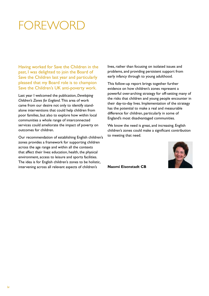## FOREWOR

Having worked for Save the Children in the past, I was delighted to join the Board of Save the Children last year and particularly pleased that my Board role is to champion Save the Children's UK anti-poverty work.

Last year I welcomed the publication, *Developing Children's Zones for England*. This area of work came from our desire not only to identify standalone interventions that could help children from poor families, but also to explore how within local communities a whole range of interconnected services could ameliorate the impact of poverty on outcomes for children.

Our recommendation of establishing English children's zones provides a framework for supporting children across the age range and within all the contexts that affect their lives: education, health, the physical environment, access to leisure and sports facilities. The idea is for English children's zones to be holistic, intervening across all relevant aspects of children's

lives, rather than focusing on isolated issues and problems, and providing persistent support from early infancy through to young adulthood.

This follow-up report brings together further evidence on how children's zones represent a powerful over-arching strategy for off-setting many of the risks that children and young people encounter in their day-to-day lives. Implementation of the strategy has the potential to make a real and measurable difference for children, particularly in some of England's most disadvantaged communities.

We know the need is great, and increasing. English children's zones could make a significant contribution to meeting that need.

**Naomi Eisenstadt CB**

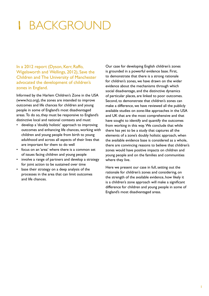## **BACKGROUND**

In a 2012 report (Dyson, Kerr, Raffo, Wigelsworth and Wellings, 2012), Save the Children and The University of Manchester advocated the development of children's zones in England.

Informed by the Harlem Children's Zone in the USA (www.hcz.org), the zones are intended to improve outcomes and life chances for children and young people in some of England's most disadvantaged areas. To do so, they must be responsive to England's distinctive local and national contexts and must:

- develop a 'doubly holistic' approach to improving outcomes and enhancing life chances, working with children and young people from birth to young adulthood and across all aspects of their lives that are important for them to do well
- focus on an 'area' where there is a common set of issues facing children and young people
- involve a range of partners and develop a strategy for joint action to be sustained over time
- base their strategy on a deep analysis of the processes in the area that can limit outcomes and life chances.

Our case for developing English children's zones is grounded in a powerful evidence base. First, to demonstrate that there is a strong rationale for children's zones, we have drawn on the wider evidence about the mechanisms through which social disadvantage, and the distinctive dynamics of particular places, are linked to poor outcomes. Second, to demonstrate that children's zones can make a difference, we have reviewed all the publicly available studies on zone-like approaches in the USA and UK that are the most comprehensive and that have sought to identify and quantify the outcomes from working in this way. We conclude that while there has yet to be a study that captures all the elements of a zone's doubly holistic approach, when the available evidence base is considered as a whole, there are convincing reasons to believe that children's zones would have positive impacts on children and young people and on the families and communities where they live.

Here we present our case in full, setting out the rationale for children's zones and considering, on the strength of the available evidence, how likely it is a children's zone approach will make a significant difference for children and young people in some of England's most disadvantaged areas.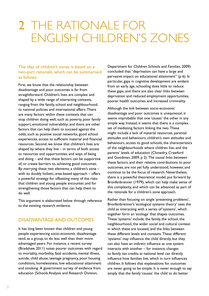## 2 The rationale for english children's zones

The idea of children's zones is based on a two-part rationale, which can be summarised as follows.

First, we know that the relationship between disadvantage and poor outcomes is far from straightforward. Children's lives are complex and shaped by a wide range of interacting contexts, ranging from the family, school and neighbourhood, to national policies and international affairs. There are many factors within these contexts that can stop children doing well, such as poverty, poor family support, emotional vulnerability; and there are other factors that can help them to succeed against the odds, such as positive social networks, good school experiences, access to sufficient material and financial resources. Second, we know that children's lives are shaped by where they live – in terms of both access to resources and opportunities, and ways of being and doing – and that these factors can be supportive of, or create barriers to, achieving good outcomes. By marrying these two elements, a children's zone – with its doubly holistic, area-based approach – offers a powerful strategy for offsetting many of the risks that children and young people encounter, and for strengthening those factors that can help them to do well.

This argument is elaborated below through reference to the existing research evidence.

### Disadvantage and outcomes

It has long been known that children and young people experiencing socio-economic disadvantage tend, as a group, to do less well than their more advantaged peers. For instance, a recent survey (Bradshaw, 2011) notes poorer outcomes with regard to mortality, morbidity, fatal accidents, mental illness, suicide, child abuse, teenage pregnancy, poor housing conditions, homelessness, low educational attainment and smoking. A government survey of evidence from education (Schools Analysis and Research Division,

Department for Children Schools and Families, 2009) concluded that "deprivation can have a large and pervasive impact on educational attainment" (p 6). In particular, gaps in cognitive development are evident from an early age, schooling does little to reduce these gaps, and there are also clear links between deprivation and reduced employment opportunities, poorer health outcomes and increased criminality.

Although the link between socio-economic disadvantage and poor outcomes is unequivocal, it seems improbable that one 'causes' the other in any simple way. Instead, it seems that there is a complex set of mediating factors linking the two. These might include a lack of material resources, parental attitudes and behaviours, children's own attitudes and behaviours, access to good schools, the characteristics of the neighbourhoods where children live, and the parents' levels of education (Chowdry, Crawford and Goodman, 2009, p 2). The causal links between these factors, and their relative contributions to poor outcomes, are not yet fully understood, however, and continue to be the focus of research. Nevertheless, there is a powerful theoretical model, put forward by Bronfenbrenner (1979), which can help make sense of this complexity, and which can be advanced as part of the rationale for a children's zone approach.

Rather than focusing on single 'presenting problems', Bronfenbrenner's 'ecological systems theory' sees the child as interacting with a series of 'systems', which together form an 'ecology' that shapes outcomes. These 'systems' include: the family, the school, the neighbourhood, the wider social and cultural context in which these are located, and the links between these different levels and contexts. These different 'systems' may influence the child directly, but they can also have an indirect influence as one system interacts with another – for instance, changes to family tax credits at national level can directly influence how families live, which in turn influences children. It follows that explanations for outcomes are never going to be simple. It is never enough to say simply that the family 'causes' the child to do better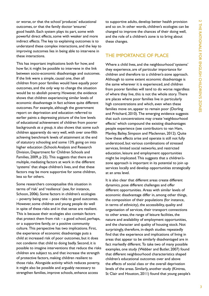or worse, or that the school 'produces' educational outcomes, or that the family doctor 'ensures' good health. Each system plays its part, some with powerful direct effects, some with weaker and more indirect effects. The key to explaining outcomes is to understand these complex interactions, and the key to improving outcomes lies in being able to intervene in these interactions.

This has important implications both for how, and how far, it might be possible to intervene in the link between socio-economic disadvantage and outcomes. If the link were a simple, causal one, then all children from poor families would have equally poor outcomes, and the only way to change the situation would be to abolish poverty. However, the evidence shows that children experiencing similar levels of economic disadvantage in fact achieve quite different outcomes. For example, although the government report on deprivation and education referred to earlier paints a depressing picture of the low levels of educational achievement of children from poorer backgrounds *as a group*, it also shows that some such children apparently do very well, with over one-fifth achieving benchmark levels of attainment at the end of statutory schooling and some 13% going on into higher education (Schools Analysis and Research Division, Department for Children Schools and Families, 2009, p 25). This suggests that there are multiple, mediating factors at work in the different 'systems' that shape children's lives, and that these factors may be more supportive for some children, less so for others.

Some researchers conceptualise this situation in terms of 'risk' and 'resilience' (see, for instance, Schoon, 2006). Some factors in children's ecologies – poverty being one – pose risks to good outcomes. However, some children and young people do well in spite of these risks and in that sense are resilient. This is because their ecologies also contain factors that protect them from risk  $-$  a good school, perhaps, or a supportive family, or a positive community culture. This perspective has two implications. First, the experience of economic disadvantage puts a child at increased risk of poor outcomes, but it does not condemn that child to doing badly. Second, it is possible to imagine interventions that reduce the risks children are subject to, and that increase the strength of protective factors, making children resilient to those risks. Alongside activity which reduces poverty, it might also be possible and arguably necessary to strengthen families, improve schools, enhance access

to supportive adults, develop better health provision and so on. In other words, children's ecologies can be changed to improve the chances of their doing well, and the role of a children's zone is to bring about these changes.

#### The importance of place

Where a child lives, and the neighbourhood 'systems' they experience, are of particular importance for children and therefore to a children's-zone approach. Although to some extent economic disadvantage is the same wherever it is experienced, and children from poorer families will tend to do worse regardless of where they live, this is not the whole story. There are places where poor families live in particularly high concentrations and which, even when these families move on, appear to remain poor (Dorling and Pritchard, 2010). The emerging evidence suggests that such concentrations may create 'neighbourhood effects' which compound the existing disadvantages people experience (see contributors to van Ham, Manley, Bailey, Simpson and Maclennan, 2012). Quite how these effects arise and operate is still not fully understood, but various combinations of stressed services, limited social networks, and restricted education, leisure and employment opportunities might be implicated. This suggests that a children'szone approach is important in its potential to join up services locally and develop opportunities strategically at an area level.

It is also clear that different areas create different dynamics, pose different challenges and offer different opportunities. Areas with similar levels of economic disadvantage differ in, among other things, the composition of their populations (for instance, in terms of ethnicity), the accessibility, quality and organisation of services, their transport connections to other areas, the range of leisure facilities, the nature and availability of employment opportunities, and the character and quality of housing stock. Not surprisingly, therefore, in-depth studies repeatedly find that the experience and implications of living in areas that appear to be similarly disadvantaged are in fact markedly different. To take two of many possible examples, one study (Webber and Butler, 2007) found that different neighbourhood characteristics shaped children's educational outcomes over and above the effects of social class or the overall deprivation levels of the areas. Similarly, another study (Kintrea, St Clair and Houston, 2011) found that young people's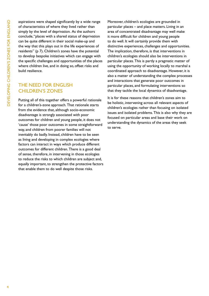aspirations were shaped significantly by a wide range of characteristics of where they lived rather than simply by the level of deprivation. As the authors conclude, "places with a shared status of deprivation can be quite different in their social make-up and the way that this plays out in the life experiences of residents" (p 7). Children's zones have the potential to develop bespoke initiatives which can engage with the specific challenges and opportunities of the places where children live, and in doing so, offset risks and build resilience.

### The need for english children's zones

Putting all of this together offers a powerful rationale for a children's-zone approach. That rationale starts from the evidence that, although socio-economic disadvantage is strongly associated with poor outcomes for children and young people, it does not 'cause' those poor outcomes in some straightforward way, and children from poorer families will not inevitably do badly. Instead, children have to be seen as living and developing in complex ecologies where factors can interact in ways which produce different outcomes for different children. There is a good deal of sense, therefore, in intervening in those ecologies to reduce the risks to which children are subject and, equally important, to strengthen the protective factors that enable them to do well despite those risks.

Moreover, children's ecologies are grounded in particular places – and place matters. Living in an area of concentrated disadvantage may well make it more difficult for children and young people to do well. It will certainly provide them with distinctive experiences, challenges and opportunities. The implication, therefore, is that interventions in children's ecologies should also be interventions in particular places. This is partly a pragmatic matter of using the opportunity of working locally to marshal a coordinated approach to disadvantage. However, it is also a matter of understanding the complex processes and interactions that generate poor outcomes in particular places, and formulating interventions so that they tackle the local dynamics of disadvantage.

It is for these reasons that children's zones aim to be holistic, intervening across all relevant aspects of children's ecologies rather than focusing on isolated issues and isolated problems. This is also why they are focused on particular areas and base their work on understanding the dynamics of the areas they seek to serve.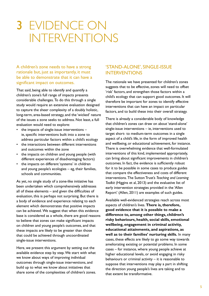### 3 Evidence on **INTERVENTIONS**

A children's zone needs to have a strong rationale but, just as importantly, it must be able to demonstrate that it can have a significant impact on outcomes.

That said, being able to identify and quantify a children's zone's full range of impacts presents considerable challenges. To do this through a single study would require an extensive evaluation designed to capture the sheer complexity of a doubly holistic, long-term, area-based strategy, and the 'wicked' nature of the issues a zone seeks to address. Not least, a full evaluation would need to explore:

- the impacts of single-issue interventions  $$ ie, specific interventions built into a zone to address particular factors within a child's ecology
- • the interactions between different interventions and outcomes within the zone
- the impacts on children and young people (with different experiences of disadvantaging factors)
- the impacts on different 'systems' in children and young people's ecologies – eg, their families, schools and communities.

As yet, no single study of a zone-like initiative has been undertaken which comprehensively addresses all of these elements – and given the difficulties of evaluation, this is perhaps not surprising. But there is a body of evidence and experience relating to each element which demonstrates that positive impacts can be achieved. We suggest that when this evidence base is considered as a whole, there are good reasons to believe that zones can make significant impacts on children and young people's outcomes, and that these impacts are likely to be greater than those that could be achieved through uncoordinated single-issue interventions.

Here, we present this argument by setting out the available evidence step by step. We start with what we know about ways of improving individual outcomes through single-issue interventions, and build up to what we know about initiatives that share some of the complexities of children's zones.

### 'Stand-alone', single-issue **INTERVENTIONS**

The rationale we have presented for children's zones suggests that to be effective, zones will need to offset 'risk' factors, and strengthen those factors within a child's ecology that can support good outcomes. It will therefore be important for zones to identify effective interventions that can have an impact on particular factors, and to build these into their overall strategy.

There is already a considerable body of knowledge that children's zones can draw on about 'stand-alone' single-issue interventions – ie, interventions used to target short- to medium-term outcomes in a single aspect of a child's life, in the form of improved health and wellbeing, or educational achievement, for instance. There is overwhelming evidence that well-formulated interventions of this kind, implemented appropriately, can bring about significant improvements in children's outcomes. In fact, the evidence is sufficiently robust for it to be possible in some cases to produce guides that compare the effectiveness and costs of different interventions. The Sutton Trust's *Teaching and Learning Toolkit* (Higgins et al, 2013) and the evaluative list of early intervention strategies provided in the 'Allen Report' (Allen, 2011) are examples of such guides.

Available well-evidenced strategies reach across most aspects of children's lives. **There is, therefore, good evidence that it is possible to make a difference to, among other things, children's risky behaviours, health, social skills, emotional wellbeing, engagement in criminal activity, educational attainments, and aspirations, as well as to their families' nurturing skills.** In many cases, these effects are likely to go some way towards ameliorating existing or potential problems. In some cases – for instance, where young people achieve at higher educational levels, or avoid engaging in risky behaviours or criminal activity  $-$  it is reasonable to suppose that interventions may play a part in shifting the direction young people's lives are taking and to that extent be transformative.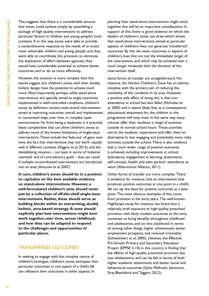This suggests that there is a considerable amount that zones could achieve simply by assembling a package of high-quality interventions to address particular factors in children and young people's local contexts. If, in this way, zones were able to provide a comprehensive response to the needs of an area's most vulnerable children and young people, and they were able to coordinate this provision to eliminate the duplication of effort between agencies, they would have considerable potential to achieve better outcomes, and to do so more efficiently.

However, the situation is more complex than this would suggest, and children's zones, with their doubly holistic design, have the potential to achieve much more. Most importantly perhaps, while stand-alone interventions are typically aimed at single outcomes, implemented in well-controlled conditions, children's zones, by definition, involve multi-strand interventions aimed at improving outcomes overall, and implemented in customised ways, over time, in complex, open environments. Far from being a weakness, it is precisely these complexities that can allow children's zones to address some of the known limitations of single-issue interventions. These include the 'fade-out' of gains over time, the fact that interventions may not 'work' equally well in different contexts (Higgins et al, 2013), and the destabilising situation – not least in terms of 'initiative overload' and of contradictory goals – that can result if multiple uncoordinated interventions are introduced into an area (Ainscow et al, 2007).

**In sum, children's zones should be in a position to capitalise on the best available evidence on stand-alone interventions. However, a well-formulated children's zone should never just be a collection of off-the-shelf single-issue interventions. Rather, these should serve as building blocks within an overarching, doubly holistic, area-based strategy. A zone should explicitly plan how interventions might best work together, over time, across childhood, and how they can be adapted to respond to the challenges and opportunities of particular places.** 

#### Transferred outcomes

In seeking to engage with the complex nature of children's ecologies, children's zones anticipate that particular outcomes in one aspect of a child's life can influence their outcomes in other aspects. In

planning how stand-alone interventions might work together, this will be an important consideration. In support of this, there is good evidence on which the leaders of children's zones can draw, which shows that stand-alone interventions, aimed at particular aspects of children's lives, can generate 'transferred' outcomes. By this we mean outcomes in aspects of children's lives that are not the immediate target of the intervention, and which may be achieved over a much longer timescale than the duration of the intervention itself.

Some forms of transfer are straightforward. For instance, the Harlem Children's Zone has an asthma initiative with the primary aim of reducing the morbidity of the condition in its area. However, a positive side effect of doing this is that nonattendance at school has also fallen (Nicholas et al, 2005) and it seems likely that, as a consequence, educational attainment for the children in the programme will have risen. In the same way, many schools offer their students a range of activities outside of normal school hours. These activities enrich the students' experience and offer them an alternative to less engaging and potentially more risky activities outside the school. There is also evidence that a much wider range of positive outcomes is achieved, including improvements in: school attendance, engagement in learning, attainments, self-concept, health, and even parents' attendance at work (Afterschool Alliance, 2011).

Other forms of transfer are more complex. There is evidence, for instance, that an intervention that produces positive outcomes at one point in a child's life can lay the basis for positive outcomes at a later point. The most obvious examples of this come from provision in the early years. The well-known HighScope study, for instance, has found that a relatively brief exposure to high-quality preschool provision, with fairly modest outcomes at the time, continues to bring benefits throughout childhood and adolescence, and on into adulthood in terms of, among other things, higher achievement, better employment prospects, and reduced criminality (Schweinhart et al, 2005). Likewise, the Effective Pre-School, Primary and Secondary Education Project (EPPSE 3-14) in this country is finding that the effects of high-quality preschool provision last into adolescence, and can be felt in terms of both higher academic attainments and better social and behavioural outcomes (Sylva, Melhuish, Sammons, Siraj-Blatchford and Taggart, 2012).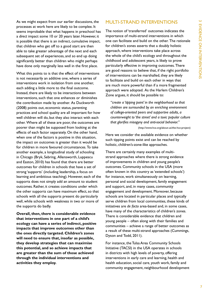As we might expect from our earlier discussions, the processes at work here are likely to be complex. It seems improbable that what happens in preschool has a *direct* impact some 10 or 20 years later. However, it is possible that there is an indirect, cumulative impact, that children who get off to a good start are then able to take greater advantage of the next and each subsequent set of experiences, and so end up doing significantly better than children who might perhaps have done only marginally less well in the first place.

What this points to is that the effect of interventions is not necessarily an additive one, where a series of interventions work in isolation from one another, each adding a little more to the final outcome. Instead, there are likely to be interactions between interventions, such that one enhances or diminishes the contribution made by another. As Duckworth (2008) points out, economic status, parenting practices and school quality are all important for how well children will do, but they also interact with each other. Where all of these are poor, the outcomes are poorer than might be supposed from looking at the effects of each factor separately. On the other hand, when one of the factors is positive in this situation, the impact on outcomes is greater than it would be for children in more favoured circumstances. To take another example, a longitudinal study of schooling in Chicago (Bryk, Sebring, Allensworth, Luppescu and Easton, 2010) has found that there are better outcomes for children in schools that have a set of strong 'supports' (including leadership, a focus on learning and ambitious teaching). However, each of the supports does not simply add an amount to student outcomes. Rather, it creates conditions under which the other supports can have maximum effect, so that schools with all the supports present do particularly well, while schools with weakness in two or more of the supports do badly.

**Overall, then, there is considerable evidence that interventions in one part of a child's ecology can have a series of indirect, positive impacts that improve outcomes other than the ones directly targeted. Children's zones will need to ensure that, insofar as possible, they develop strategies that can maximise this potential, and so achieve impacts that are greater than the sum of those achieved through the individual interventions and activities they employ.** 

#### Multi-strand interventions

The notion of 'transferred' outcomes indicates the importance of multi-strand interventions in which one can facilitate and build on the other. The rationale for children's zones asserts that a doubly holistic approach, where interventions take place across the whole of the child's ecology and throughout the childhood and adolescent years, is likely to prove particularly effective in improving outcomes. There are good reasons to believe that, if the right portfolio of interventions can be marshalled, they are likely to facilitate and build on each other in ways that are much more powerful than if a more fragmented approach were adopted. As the Harlem Children's Zone argues, it should be possible to:

*"create a 'tipping point' in the neighborhood so that children are surrounded by an enriching environment of college-oriented peers and supportive adults, a counterweight to 'the street' and a toxic popular culture that glorifies misogyny and anti-social behavior."*

(http://www.hcz.org/about-us/the-hcz-project)

Here we consider the available evidence on whether such tipping points exist and can be reached by holistic, children's-zone-like approaches.

There are certainly many examples of multistrand approaches where there is strong evidence of improvements in children and young people's outcomes. Community schools in the USA (more often known in this country as 'extended schools') for instance, work simultaneously on learning, personal and social development, family engagement and support, and, in many cases, community engagement and development. Moreover, because schools are located in particular places and typically serve children from local communities, these kinds of initiatives are *de facto* area-based and, in some cases, have many of the characteristics of children's zones. There is considerable evidence that children and young people – often along with their families and communities – achieve a range of better outcomes as a result of these multi-strand approaches (Cummings, Dyson and Todd, 2011).

For instance, the Tulsa Area Community Schools Initiative (TACSI) in the USA operates in schools in districts with high levels of poverty, offering interventions in early care and learning, health and health education, social care, youth work, family and community engagement, neighbourhood development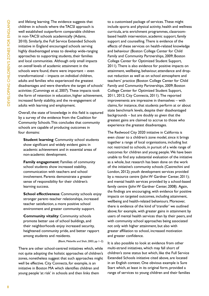and lifelong learning. The evidence suggests that children in schools where the TACSI approach is well established outperform comparable children in non-TACSI schools academically (Adams, 2010). Similarly, the Full Service Extended Schools initiative in England encouraged schools serving highly disadvantaged areas to develop wide-ranging approaches to supporting students, their families and local communities. Although only small impacts on *overall* levels of academic attainment in the schools were found, there were important – even transformational – impacts on *individual* children, adults and families who experienced the greatest disadvantages and were therefore the target of schools' activities (Cummings et al, 2007). These impacts took the form of retention in education, higher achievement, increased family stability, and the re-engagement of adults with learning and employment.

Overall, the state of knowledge in this field is captured by a survey of the evidence from the Coalition for Community Schools. This concludes that community schools are capable of producing outcomes in four domains:

**Student learning**: Community school students show significant and widely evident gains in academic achievement and in essential areas of non-academic development.

**Family engagement**: Families of community school students show increased stability, communication with teachers and school involvement. Parents demonstrate a greater sense of responsibility for their children's learning success.

**School effectiveness**: Community schools enjoy stronger parent–teacher relationships, increased teacher satisfaction, a more positive school environment and greater community support.

**Community vitality**: Community schools promote better use of school buildings, and their neighborhoods enjoy increased security, heightened community pride, and better rapport among students and residents.

(Blank, Melaville and Shah, 2003, pp 1–2)

There are other school-centred initiatives which, while not quite adopting the holistic approaches of children's zones, nonetheless suggest that such approaches might well be effective. City Connects, for example, is an initiative in Boston MA which identifies children and young people 'at risk' in schools and then links them

to a customised package of services. These might include sports and physical activity, health and wellness curricula, arts enrichment programmes, classroombased health intervention, academic support, family support and counselling. There is evidence of the effects of these services on health-related knowledge and behaviour (Boston College Center for Child Family and Community Partnerships, 2009; Boston College Center for Optimized Student Support, 2011). There is also evidence for positive impacts on attainment, wellbeing, behaviour, attendance and dropout reduction as well as on school atmosphere and teachers' practice (Boston College Center for Child Family and Community Partnerships, 2009; Boston College Center for Optimized Student Support, 2011, 2012; City Connects, 2011). The reported improvements are impressive in themselves – with claims, for instance, that students perform at or about state benchmark levels, despite their disadvantaged backgrounds – but are doubly so given that the greatest gains are claimed to accrue to those who experience the greatest disadvantages.

The Redwood City 2020 initiative in California is even closer to a children's zone model, since it brings together a range of local organisations, including but not restricted to schools, in pursuit of a wide range of outcomes for children and young people. We have been unable to find any substantial evaluation of the initiative as a whole, but research has been done on the work of: the initiative's community schools (Castrechini and London, 2012); youth development services provided by a resource centre (John W Gardner Center, 2011); and mental health services provided by a school-based family centre (John W Gardner Center, 2008). Again, the findings are encouraging, with evidence for positive impacts on targeted outcomes, including attainment, wellbeing and health-related behaviours. Moreover, there is evidence of the kind of 'transfer' we outlined above; for example, with greater gains in attainment by users of mental health services than by their peers, and with community school approaches being associated not only with higher attainment, but also with greater affiliation to school, increased motivation and greater confidence.

It is also possible to look at evidence from other multi-strand initiatives, which may fall short of children's zone status but which, like the Full Service Extended Schools initiative cited above, are located in an English context. One obvious example is Sure Start which, at least in its original form, provided a range of services to young children and their families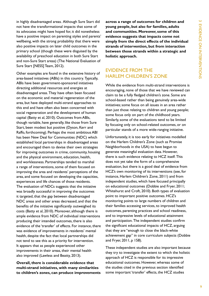in highly disadvantaged areas. Although Sure Start did not have the transformational impacts that some of its advocates might have hoped for, it did nonetheless have a positive impact on parenting styles and parents' wellbeing, with the strong probability that there were also positive impacts on later child outcomes in the primary school (though these were disguised by the availability of preschool education in both Sure Start and non-Sure Start areas) (The National Evaluation of Sure Start [NESS] Team, 2012).

Other examples are found in the extensive history of area-based initiatives (ABIs) in this country. Typically, ABIs have been government-sponsored initiatives directing additional resources and energies at disadvantaged areas. They have often been focused on the economic and material regeneration of the area, but have deployed multi-strand approaches to this end and have often also been concerned with social regeneration and the development of human capital (Batty et al, 2010). Outcomes from ABIs, though variable, have generally, like those from Sure Start, been modest but positive (Dyson, Kerr and Raffo, forthcoming). Perhaps the most ambitious ABI has been New Deal for Communities (NDC) which established local partnerships in disadvantaged areas and encouraged them to devise their own strategies for improving outcomes in crime, community, housing and the physical environment, education, health, and worklessness. Partnerships tended to marshal a range of interventions, some of them focused on improving the area and residents' perceptions of the area, and some focused on developing the capacities, experiences and life chances of those residents. The evaluation of NDCs suggests that the initiative was broadly successful in improving the outcomes it targeted, that the gap between disadvantaged NDC areas and other areas decreased, and that the benefits of the initiative significantly outweighed its costs (Batty et al, 2010). Moreover, although there is ample evidence from NDC of individual interventions producing their intended outcomes, there is also evidence of the 'transfer' of effects. For instance, there was evidence of improvements in residents' mental health, despite the fact that local partnerships did not tend to see this as a priority for intervention. It appears that as people experienced other improvements in their areas, their mental health also improved (Lawless and Beatty, 2013).

**Overall, there is considerable evidence that multi-strand initiatives, with many similarities to children's zones, can produce improvements** 

**across a range of outcomes for children and young people, but also for families, adults and communities. Moreover, some of this evidence suggests that impacts come not simply from the direct effects of the individual strands of intervention, but from interaction between those strands within a strategic and holistic approach.**

### Evidence from the Harlem Children's Zone

While the evidence from multi-strand interventions is encouraging, none of those that we have reviewed can claim to be a fully fledged children's zone. Some are school-based rather than being genuinely area-wide initiatives; some focus on all issues in an area rather than just those relating to children and young people; some focus only on part of the childhood years. Similarly, some of the evaluations tend to be limited by focusing only on school-related outcomes, or on particular stands of a more wide-ranging initiative.

Unfortunately, it is too early for initiatives modelled on the Harlem Children's Zone (such as Promise Neighborhoods in the USA) to have begun to generate meaningful evaluation data. However, there is such evidence relating to HCZ itself. This does not yet take the form of a comprehensive evaluation, but there is a good deal of evidence from HCZ's own monitoring of its interventions (see, for instance, Harlem Children's Zone, 2011) and from independent studies, which have focused principally on educational outcomes (Dobbie and Fryer, 2011; Whitehurst and Croft, 2010). Both types of evaluation point to important positive outcomes. HCZ's monitoring points to large numbers of children and their families accessing services, to improved health outcomes, parenting practices and school readiness, and to impressive levels of educational attainment and participation. The independent studies confirm the significant educational impacts of HCZ, arguing that they are "enough to close the black-white achievement gap" in core curriculum subjects (Dobbie and Fryer, 2011, p 158).

These independent studies are also important because they try to investigate the extent to which the holistic approach of HCZ is responsible for its impressive educational outcomes. However, whereas some of the studies cited in the previous section identified some important 'transfer' effects, the HCZ studies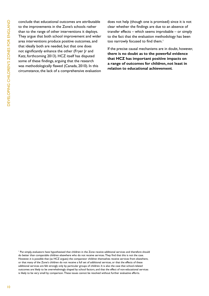conclude that educational outcomes are attributable to the improvements in the Zone's schools rather than to the range of other interventions it deploys. They argue that both school improvement and wider area interventions produce positive outcomes, and that ideally both are needed, but that one does not significantly enhance the other (Fryer Jr and Katz, forthcoming 2013). HCZ itself has disputed some of these findings, arguing that the research was methodologically flawed (Canada, 2010). In this circumstance, the lack of a comprehensive evaluation

does not help (though one is promised) since it is not clear whether the findings are due to an absence of transfer effects – which seems improbable – or simply to the fact that the evaluation methodology has been too narrowly focused to find them.<sup>1</sup>

If the precise causal mechanisms are in doubt, however, **there is no doubt as to the powerful evidence that HCZ has important positive impacts on a range of outcomes for children, not least in relation to educational achievement**.

Put simply, evaluators have hypothesised that children in the Zone receive additional services and therefore should do better than comparable children elsewhere who do not receive services. They find that this is not the case. However, it is possible that (as HCZ argues) the comparator children themselves receive services from elsewhere, or that many of the Zone's children do not receive a full set of additional services, or that the effects of these additional services are felt strongly only by particular groups of children. It is also the case that school-related outcomes are likely to be overwhelmingly shaped by school factors, and that the effect of non-educational services is likely to be very small by comparison. These issues cannot be resolved without further evaluative efforts.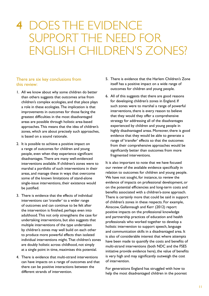### 4 Does the evidence support the need for English children's zones?

#### There are six key conclusions from this review:

- 1. All we know about why some children do better than others suggests that outcomes arise from children's complex ecologies, and that place plays a role in these ecologies. The implication is that improvements in outcomes for those facing the greatest difficulties in the most disadvantaged areas are possible through holistic area-based approaches. This means that the idea of children's zones, which are about precisely such approaches, is based on a sound rationale.
- 2. It is possible to achieve a positive impact on a range of outcomes for children and young people, even when they experience significant disadvantages. There are many well-evidenced interventions available. If children's zones were to marshal a portfolio of such interventions in their areas, and manage these in ways that overcome some of the known limitations of stand-alone single-issue interventions, their existence would be justified.
- 3. There is evidence that the effects of individual interventions can 'transfer' to a wider range of outcomes and can continue to be felt after the intervention is finished, perhaps even into adulthood. This not only strengthens the case for undertaking interventions, but also suggests that multiple interventions of the type undertaken by children's zones may well build on each other to produce more powerful effects than isolated individual interventions might. That children's zones are doubly holistic across childhood, not simply at a single point in time, maximises this potential.
- 4. There is evidence that multi-strand interventions can have impacts on a range of outcomes and that there can be positive interactions between the different strands of intervention.
- 5. There is evidence that the Harlem Children's Zone itself has a positive impact on a wide range of outcomes for children and young people.
- 6. All of this suggests that there are good reasons for developing children's zones in England. If such zones were to marshal a range of powerful interventions, there is every reason to believe that they would they offer a comprehensive strategy for addressing all of the disadvantages experienced by children and young people in highly disadvantaged areas. Moreover, there is good evidence that they would be able to generate a range of 'transfer' effects so that the outcomes from their comprehensive approaches would be significantly better than outcomes from more fragmented interventions.

It is also important to note that we have focused our review of the available evidence specifically in relation to outcomes for children and young people. We have not sought, for instance, to review the evidence of impacts on professional development, or on the potential efficiencies and long-term costs and benefits associated with a children's-zone approach. There is certainly more that could be said in support of children's zones in these respects. For example, Ainscow, Gallannaugh and Kerr (2012) report positive impacts on the professional knowledge and partnership practices of education and health professionals who worked together to develop a holistic intervention to support speech, language and communication skills in a disadvantaged area. It is also of considerable interest that where attempts have been made to quantify the costs and benefits of multi-strand interventions (both NDC and the FSES initiative provide evidence here), the value of benefits is very high and may significantly outweigh the cost of intervention.

For generations England has struggled with how to help the most disadvantaged children in the poorest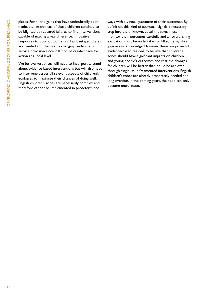places. For all the gains that have undoubtedly been made, the life chances of those children continue to be blighted by repeated failures to find interventions capable of making a real difference. Innovative responses to poor outcomes in disadvantaged places are needed and the rapidly changing landscape of service provision since 2010 could create space for action at a local level.

We believe responses will need to incorporate standalone, evidence-based interventions but will also need to intervene across all relevant aspects of children's ecologies to maximise their chances of doing well. English children's zones are necessarily complex and therefore cannot be implemented in predetermined

ways with a virtual guarantee of their outcomes. By definition, this kind of approach signals a necessary step into the unknown. Local initiatives must monitor their outcomes carefully and an overarching evaluation must be undertaken to fill some significant gaps in our knowledge. However, there are powerful evidence-based reasons to believe that children's zones should have significant impacts on children and young people's outcomes and that the changes for children will be better than could be achieved through single-issue fragmented interventions. English children's zones are already desperately needed and long overdue. In the coming years, the need can only become more acute.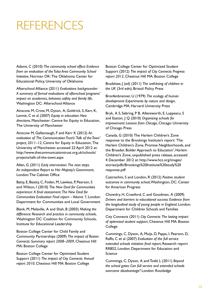## references

Adams, C (2010) *The community school effect: Evidence from an evaluation of the Tulsa Area Community School Initiative*, Norman OK: The Oklahoma Center for Educational Policy, University of Oklahoma

Afterschool Alliance (2011) *Evaluations backgrounder: A summary of formal evaluations of afterschool programs' impact on academics, behavior, safety and family life*, Washington DC: Afterschool Alliance

Ainscow, M, Crow, M, Dyson, A, Goldrick, S, Kerr, K, Lennie, C et al (2007) *Equity in education: New directions*, Manchester: Centre for Equity in Education, The University of Manchester

Ainscow M, Gallannaugh, F and Kerr K (2012) *An evaluation of The Communication Trust's 'Talk of the Town' project, 2011–12*, Centre for Equity in Education, The University of Manchester, accessed 22 April 2012 at: http://www.thecommunicationtrust.org.uk/schools/ projects/talk-of-the-town.aspx

Allen, G (2011) *Early intervention: The next steps. An independent Report to Her Majesty's Government*, London: The Cabinet Office

Batty, E, Beatty, C, Foden, M, Lawless, P, Pearson, S and Wilson, I (2010) *The New Deal for Communities experience: A final assessment. The New Deal for Communities Evaluation: Final report – Volume 7*, London: Department for Communities and Local Government

Blank, M, Melaville, A and Shah, B (2003) *Making the difference: Research and practice in community schools*, Washington DC: Coalition for Community Schools, Institute for Educational Leadership

Boston College Center for Child Family and Community Partnerships (2009) *The impact of Boston Connects: Summary report 2008–2009*, Chestnut Hill MA: Boston College

Boston College Center for Optimized Student Support (2011) *The impact of City Connects: Annual report 2010*, Chestnut Hill MA: Boston College

Boston College Center for Optimized Student Support (2012) *The impact of City Connects: Progress report 2012*, Chestnut Hill MA: Boston College

Bradshaw, J (ed) (2011) *The well-being of children in the UK* (3rd edn), Bristol: Policy Press

Bronfenbrenner, U (1979) *The ecology of human development: Experiments by nature and design*, Cambridge MA: Harvard University Press

Bryk, A S, Sebring, P B, Allensworth, E, Luppescu, S and Easton, J Q (2010) *Organizing schools for improvement: Lessons from Chicago*, Chicago: University of Chicago Press

Canada, G (2010) The Harlem Children's Zone response to the Brookings Institute's report: 'The Harlem Children's Zone, Promise Neighborhoods, and the Broader, Bolder Approach to Education', Harlem Children's Zone, unpublished press release, accessed 4 December 2012 at: http://www.hcz.org/images/ stories/pdfs/Brookings%20Institute%20study%20 response.pdf

Castrechini, S and London, R (2012) *Positive student outcomes in community school*, Washington, DC: Center for American Progress

Chowdry, H, Crawford, C and Goodman, A (2009) *Drivers and barriers to educational success: Evidence from the longitudinal study of young people in England*, London: Department for Children Schools and Families

City Connects (2011) *City Connects: The lasting impact of optimized student support*, Chestnut Hill MA: Boston College

Cummings, C, Dyson, A, Muijs, D, Papps, I, Pearson, D, Raffo, C et al (2007) *Evaluation of the full service extended schools initiative: final report*, Research report RR852, London: Department for Education and Science

Cummings, C, Dyson, A and Todd, L (2011) *Beyond the school gates: Can full service and extended schools overcome disadvantage?* London: Routledge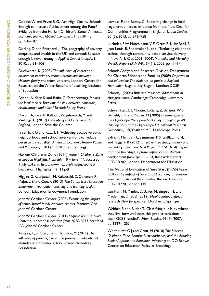Dobbie, W and Fryer, R G, 'Are High-Quality Schools Enough to Increase Achievement among the Poor? Evidence from the Harlem Children's Zone', *American Economic Journal: Applied Economics*, 3 (3), 2011, pp 158–187

Dorling, D and Pritchard, J, 'The geography of poverty, inequality and wealth in the UK and abroad: Because enough is never enough', *Applied Spatial Analysis*, 3, 2010, pp 81–106

Duckworth, K (2008) *The influence of context on attainment in primary school: interactions between children, family and school contexts*, London: Centre for Research on the Wider Benefits of Learning, Institute of Education

Dyson, A, Kerr, K and Raffo, C (forthcoming). *Making the local matter: Breaking the link between education, disadvantage and place?* Bristol: Policy Press

Dyson, A, Kerr, K, Raffo, C, Wigelsworth, M and Wellings, C (2012) *Developing children's zones for England*, London: Save the Children

Fryer Jr, R G and Katz, L F, 'Achieving escape velocity: neighborhood and school interventions to reduce persistent inequality', *American Economic Review Papers and Proceedings*, 103 (3) (2013 forthcoming)

Harlem Children's Zone (2011) *Harlem Children's Zone evaluation highlights: From July '10 – June '11*, accessed 1 July 2012 at: http://www.hcz.org/images/stories/ Evaluation\_Highlights\_FY\_11.pdf

Higgins, S, Katsipataki, M, Kokotsaki, D, Coleman, R, Major, L E and Coe, R (2013) *The Sutton Trust-Education Endowment Foundation teaching and learning toolkit*, London: Education Endowment Foundation

John W Gardner Center (2008) *Examining the impact of school-based family resource centers*, Stanford CA: John W Gardner Center

John W Gardner Center (2011) *Sequoia Teen Resource Center: A report of select data from 2010/2011*, Stanford CA: John W Gardner Center

Kintrea, K, St Clair, R and Houston, M (2011) *The influence of parents, places and poverty on educational attitudes and aspirations*, York: Joseph Rowntree Foundation

Lawless, P and Beatty, C, 'Exploring change in local regeneration areas: evidence from the New Deal for Communities Programme in England', *Urban Studies*, 50 (5), 2013, pp 942–958

Nicholas, S W, Hutchinson, V E, Ortiz, B, Klihr-Beall, S, Jean-Louis, B, Shoemaker, K et al, 'Reducing childhood asthma through community-based service delivery – New York City, 2001–2004', *Morbidity and Mortality Weekly Report (MMWR)*, 54 (1), 2005, pp 11–14

Schools Analysis and Research Division, Department for Children Schools and Families (2009) *Deprivation and education: The evidence on pupils in England, Foundation Stage to Key Stage 4*, London: DCSF

Schoon, I (2006) *Risk and resilience: Adaptations in changing times*, Cambridge: Cambridge University Press

Schweinhart, L J, Montie, J, Xiang, Z, Barnett, W S, Belfield, C R and Nores, M (2005) *Lifetime effects: the High/Scope Perry preschool study through age 40. (Monographs of the High/Scope Educational Research Foundation, 14)*, Ypsilanti MD: High/Scope Press

Sylva, K, Melhuish, E, Sammons, P, Siraj-Blatchford, I and Taggart, B (2012) *Effective Pre-school, Primary and Secondary Education 3-14 Project (EPPSE 3-14): Report from the Key Stage 3 phase: Influences on students' development from age 11 – 14,* Research Report DFE-RR202, London: Department for Education

The National Evaluation of Sure Start (NESS) Team (2012) *The impact of Sure Start Local Programmes on seven year olds and their families*, Research report DFE-RR220, London: DfE

van Ham, M, Manley, D, Bailey, N, Simpson, L and Maclennan, D (eds) (2012). *Neighbourhood effects research: New perspectives*, Dordrecht: Springer

Webber, R and Butler, T, 'Classifying pupils by where they live: how well does this predict variations in their GCSE results?', *Urban Studies*, 44 (7), 2007, pp 1229–1253

Whitehurst, G J and Croft, M (2010) *The Harlem Children's Zone, Promise Neighborhoods, and the Broader, Bolder Approach to Education*, Washington DC: Brown Center on Education Policy at Brookings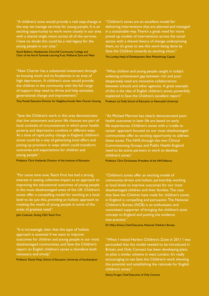"A children's zone would provide a real step-change in the way we manage services for young people. It is an exciting opportunity to work more closely in our area with a shared single vision across all of the services. I have no doubt this could be a real legacy for the young people in our area."

David Baldwin, Headteacher, Churchill Community College and Chair of the North Tyneside Learning Trust, Wallsend, Tyne and Wear

"New Charter has a substantial investment through its housing stock and its Academies in an area of high deprivation. A children's zone would provide the children in the community with the full range of support they need to thrive and help stimulate generational change and improvement."

Tony Powell, Executive Director for Neighbourhoods, New Charter Housing

"Save the Children's work in this area demonstrates that low attainment and poor life chances are part of local cocktails of circumstances in which poor health, poverty and deprivation combine in different ways. At a time of rapid policy change in England, children's zones could be a way of galvanising local effort and joining up provision in ways which could transform outcomes and expectations for children and young people."

Professor Chris Husbands, Director of the Institute of Education

"For some time now, Teach First has had a strong interest in testing collective impact as an approach to improving the educational outcomes of young people in the most disadvantaged areas of the UK. Children's zones offer a compelling model for working at a local level to do just this, providing an holistic approach to meeting the needs of young people in some of the areas of greatest need."

John Colenutt, Acting CEO, Teach First

"It is increasingly clear that this type of holistic approach is essential if we want to improve outcomes for children and young people in our most disadvantaged communities, and Save the Children's report on English children's zones is therefore both necessary and timely."

Professor Daniel Muijs, School of Education, University of Southampton

"Children's zones are an excellent model for delivering interventions that are planned and managed in a sustainable way. There's a great need for more joined up models of interventions across the social sector, with a shared theory of change underpinning them, so it's great to see this work being done by Save the Children towards an exciting vision." Tris Lumley, Head of Development, New Philanthropy Capital

"What children and young people caught in today's widening achievement gap between rich and poor desperately need are innovative collaborations between schools and other agencies. A great example of this is the idea of English children's zones, powerfully explained in Save the Children's excellent report." Professor Liz Todd, School of Education at Newcastle University

"As Michael Marmot has clearly demonstrated poor health outcomes in later life are based on early life experiences. Children's zones with a 'cradle to career' approach focused on our most disadvantaged communities offer an exciting opportunity to address these issues. The NHS through the new Clinical Commissioning Groups and Public Health England need to be active partners in work to develop children's zones."

Professor Chris Drinkwater, President of the NHS Alliance

"Children's zones offer an exciting model of community-driven and holistic partnership working at local levels to improve outcomes for our most disadvantaged children and their families. The case that Save the Children have made for children's zones in England is compelling and persuasive. The National Children's Bureau (NCB) is an enthusiastic and committed supporter of bringing the children's zone concept to England and putting the evidence into practice."

Dr Hilary Emery, Chief Executive, National Children's Bureau

"When I visited Harlem Children's Zone in 2011 I was persuaded that the model needed to be introduced in Britain, and Only Connect has been developing plans to pilot a similar scheme in west London. It's really encouraging to see Save the Children's work showing the potential and establishing the rationale for English children's zones."

Danny Kruger, Chief Executive of Only Connect